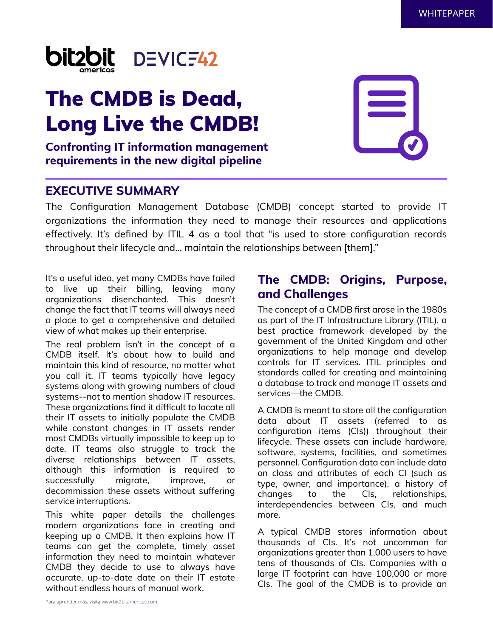

# The CMDB is Dead, Long Live the CMDB!

#### **Confronting IT information management requirements in the new digital pipeline**

#### **EXECUTIVE SUMMARY**

The Configuration Management Database (CMDB) concept started to provide IT organizations the information they need to manage their resources and applications effectively. It's defined by ITIL 4 as a tool that "is used to store configuration records throughout their lifecycle and… maintain the relationships between [them]."

It's a useful idea, yet many CMDBs have failed to live up their billing, leaving many organizations disenchanted. This doesn't change the fact that IT teams will always need a place to get a comprehensive and detailed view of what makes up their enterprise.

The real problem isn't in the concept of a CMDB itself. It's about how to build and maintain this kind of resource, no matter what you call it. IT teams typically have legacy systems along with growing numbers of cloud systems--not to mention shadow IT resources. These organizations find it difficult to locate all their IT assets to initially populate the CMDB while constant changes in IT assets render most CMDBs virtually impossible to keep up to date. IT teams also struggle to track the diverse relationships between IT assets, although this information is required to successfully migrate, improve, or decommission these assets without suffering service interruptions.

This white paper details the challenges modern organizations face in creating and keeping up a CMDB. It then explains how IT teams can get the complete, timely asset information they need to maintain whatever CMDB they decide to use to always have accurate, up-to-date date on their IT estate without endless hours of manual work.

# **The CMDB: Origins, Purpose, and Challenges**

The concept of a CMDB first arose in the 1980s as part of the IT Infrastructure Library (ITIL), a best practice framework developed by the government of the United Kingdom and other organizations to help manage and develop controls for IT services. ITIL principles and standards called for creating and maintaining a database to track and manage IT assets and services—the CMDB.

A CMDB is meant to store all the configuration data about IT assets (referred to as configuration items (CIs)) throughout their lifecycle. These assets can include hardware, software, systems, facilities, and sometimes personnel. Configuration data can include data on class and attributes of each CI (such as type, owner, and importance), a history of changes to the CIs, relationships, interdependencies between CIs, and much more.

A typical CMDB stores information about thousands of CIs. It's not uncommon for organizations greater than 1,000 users to have tens of thousands of CIs. Companies with a large IT footprint can have 100,000 or more CIs. The goal of the CMDB is to provide an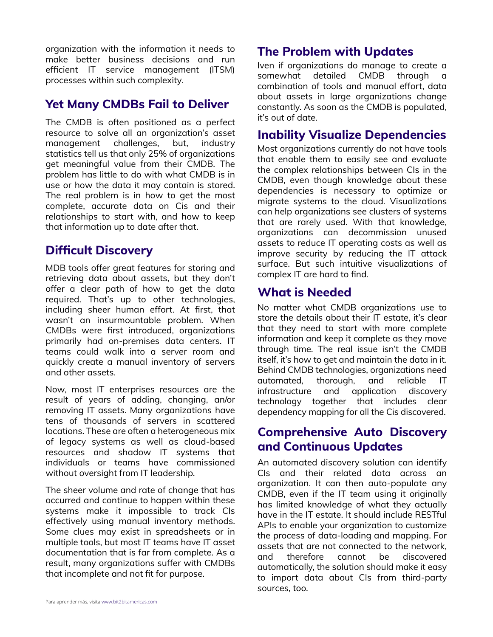organization with the information it needs to make better business decisions and run efficient IT service management (ITSM) processes within such complexity.

#### **Yet Many CMDBs Fail to Deliver**

The CMDB is often positioned as a perfect resource to solve all an organization's asset management challenges, but, industry statistics tell us that only 25% of organizations get meaningful value from their CMDB. The problem has little to do with what CMDB is in use or how the data it may contain is stored. The real problem is in how to get the most complete, accurate data on Cis and their relationships to start with, and how to keep that information up to date after that.

## **Difficult Discovery**

MDB tools offer great features for storing and retrieving data about assets, but they don't offer a clear path of how to get the data required. That's up to other technologies, including sheer human effort. At first, that wasn't an insurmountable problem. When CMDBs were first introduced, organizations primarily had on-premises data centers. IT teams could walk into a server room and quickly create a manual inventory of servers and other assets.

Now, most IT enterprises resources are the result of years of adding, changing, an/or removing IT assets. Many organizations have tens of thousands of servers in scattered locations. These are often a heterogeneous mix of legacy systems as well as cloud-based resources and shadow IT systems that individuals or teams have commissioned without oversight from IT leadership.

The sheer volume and rate of change that has occurred and continue to happen within these systems make it impossible to track CIs effectively using manual inventory methods. Some clues may exist in spreadsheets or in multiple tools, but most IT teams have IT asset documentation that is far from complete. As a result, many organizations suffer with CMDBs that incomplete and not fit for purpose.

# **The Problem with Updates**

Iven if organizations do manage to create a somewhat detailed CMDB through a combination of tools and manual effort, data about assets in large organizations change constantly. As soon as the CMDB is populated, it's out of date.

# **Inability Visualize Dependencies**

Most organizations currently do not have tools that enable them to easily see and evaluate the complex relationships between CIs in the CMDB, even though knowledge about these dependencies is necessary to optimize or migrate systems to the cloud. Visualizations can help organizations see clusters of systems that are rarely used. With that knowledge, organizations can decommission unused assets to reduce IT operating costs as well as improve security by reducing the IT attack surface. But such intuitive visualizations of complex IT are hard to find.

# **What is Needed**

No matter what CMDB organizations use to store the details about their IT estate, it's clear that they need to start with more complete information and keep it complete as they move through time. The real issue isn't the CMDB itself, it's how to get and maintain the data in it. Behind CMDB technologies, organizations need automated, thorough, and reliable IT infrastructure and application discovery technology together that includes clear dependency mapping for all the Cis discovered.

## **Comprehensive Auto Discovery and Continuous Updates**

An automated discovery solution can identify CIs and their related data across an organization. It can then auto-populate any CMDB, even if the IT team using it originally has limited knowledge of what they actually have in the IT estate. It should include RESTful APIs to enable your organization to customize the process of data-loading and mapping. For assets that are not connected to the network, and therefore cannot be discovered automatically, the solution should make it easy to import data about CIs from third-party sources, too.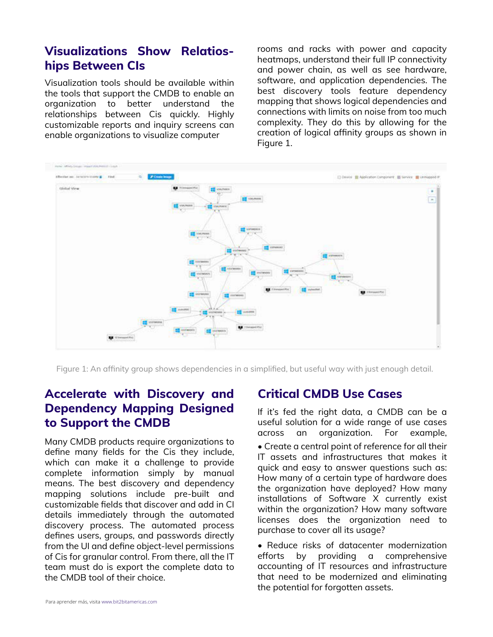# **Visualizations Show Relatioships Between CIs**

Visualization tools should be available within the tools that support the CMDB to enable an organization to better understand the relationships between Cis quickly. Highly customizable reports and inquiry screens can enable organizations to visualize computer

rooms and racks with power and capacity heatmaps, understand their full IP connectivity and power chain, as well as see hardware, software, and application dependencies. The best discovery tools feature dependency mapping that shows logical dependencies and connections with limits on noise from too much complexity. They do this by allowing for the creation of logical affinity groups as shown in Figure 1.



Figure 1: An affinity group shows dependencies in a simplified, but useful way with just enough detail.

# **Accelerate with Discovery and Dependency Mapping Designed to Support the CMDB**

Many CMDB products require organizations to define many fields for the Cis they include, which can make it a challenge to provide complete information simply by manual means. The best discovery and dependency mapping solutions include pre-built and customizable fields that discover and add in CI details immediately through the automated discovery process. The automated process defines users, groups, and passwords directly from the UI and define object-level permissions of Cis for granular control. From there, all the IT team must do is export the complete data to the CMDB tool of their choice.

#### **Critical CMDB Use Cases**

If it's fed the right data, a CMDB can be a useful solution for a wide range of use cases across an organization. For example, • Create a central point of reference for all their IT assets and infrastructures that makes it quick and easy to answer questions such as: How many of a certain type of hardware does the organization have deployed? How many installations of Software X currently exist within the organization? How many software licenses does the organization need to purchase to cover all its usage?

• Reduce risks of datacenter modernization efforts by providing a comprehensive accounting of IT resources and infrastructure that need to be modernized and eliminating the potential for forgotten assets.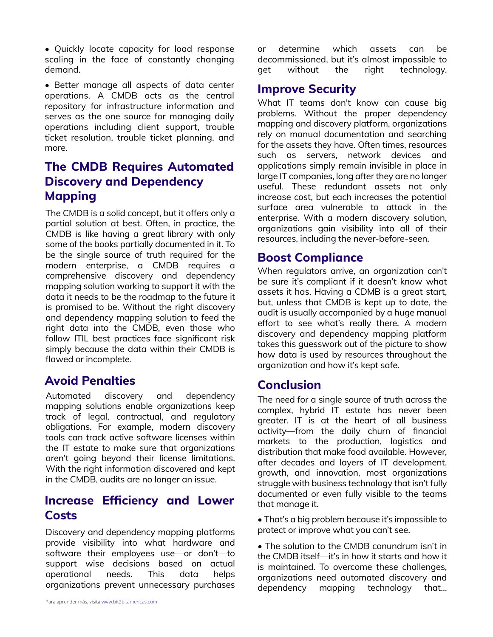• Quickly locate capacity for load response scaling in the face of constantly changing demand.

• Better manage all aspects of data center operations. A CMDB acts as the central repository for infrastructure information and serves as the one source for managing daily operations including client support, trouble ticket resolution, trouble ticket planning, and more.

# **The CMDB Requires Automated Discovery and Dependency Mapping**

The CMDB is a solid concept, but it offers only a partial solution at best. Often, in practice, the CMDB is like having a great library with only some of the books partially documented in it. To be the single source of truth required for the modern enterprise, a CMDB requires a comprehensive discovery and dependency mapping solution working to support it with the data it needs to be the roadmap to the future it is promised to be. Without the right discovery and dependency mapping solution to feed the right data into the CMDB, even those who follow ITIL best practices face significant risk simply because the data within their CMDB is flawed or incomplete.

# **Avoid Penalties**

Automated discovery and dependency mapping solutions enable organizations keep track of legal, contractual, and regulatory obligations. For example, modern discovery tools can track active software licenses within the IT estate to make sure that organizations aren't going beyond their license limitations. With the right information discovered and kept in the CMDB, audits are no longer an issue.

# **Increase Efficiency and Lower Internal and Lower Costs**

Discovery and dependency mapping platforms provide visibility into what hardware and software their employees use—or don't—to support wise decisions based on actual operational needs. This data helps organizations prevent unnecessary purchases or determine which assets can be decommissioned, but it's almost impossible to get without the right technology.

# **Improve Security**

What IT teams don't know can cause big problems. Without the proper dependency mapping and discovery platform, organizations rely on manual documentation and searching for the assets they have. Often times, resources such as servers, network devices and applications simply remain invisible in place in large IT companies, long after they are no longer useful. These redundant assets not only increase cost, but each increases the potential surface area vulnerable to attack in the enterprise. With a modern discovery solution, organizations gain visibility into all of their resources, including the never-before-seen.

#### **Boost Compliance**

When regulators arrive, an organization can't be sure it's compliant if it doesn't know what assets it has. Having a CDMB is a great start, but, unless that CMDB is kept up to date, the audit is usually accompanied by a huge manual effort to see what's really there. A modern discovery and dependency mapping platform takes this guesswork out of the picture to show how data is used by resources throughout the organization and how it's kept safe.

# **Conclusion**

The need for a single source of truth across the complex, hybrid IT estate has never been greater. IT is at the heart of all business activity—from the daily churn of financial markets to the production, logistics and distribution that make food available. However, after decades and layers of IT development, growth, and innovation, most organizations struggle with business technology that isn't fully documented or even fully visible to the teams

• That's a big problem because it's impossible to protect or improve what you can't see.

• The solution to the CMDB conundrum isn't in the CMDB itself—it's in how it starts and how it is maintained. To overcome these challenges, organizations need automated discovery and dependency mapping technology that…